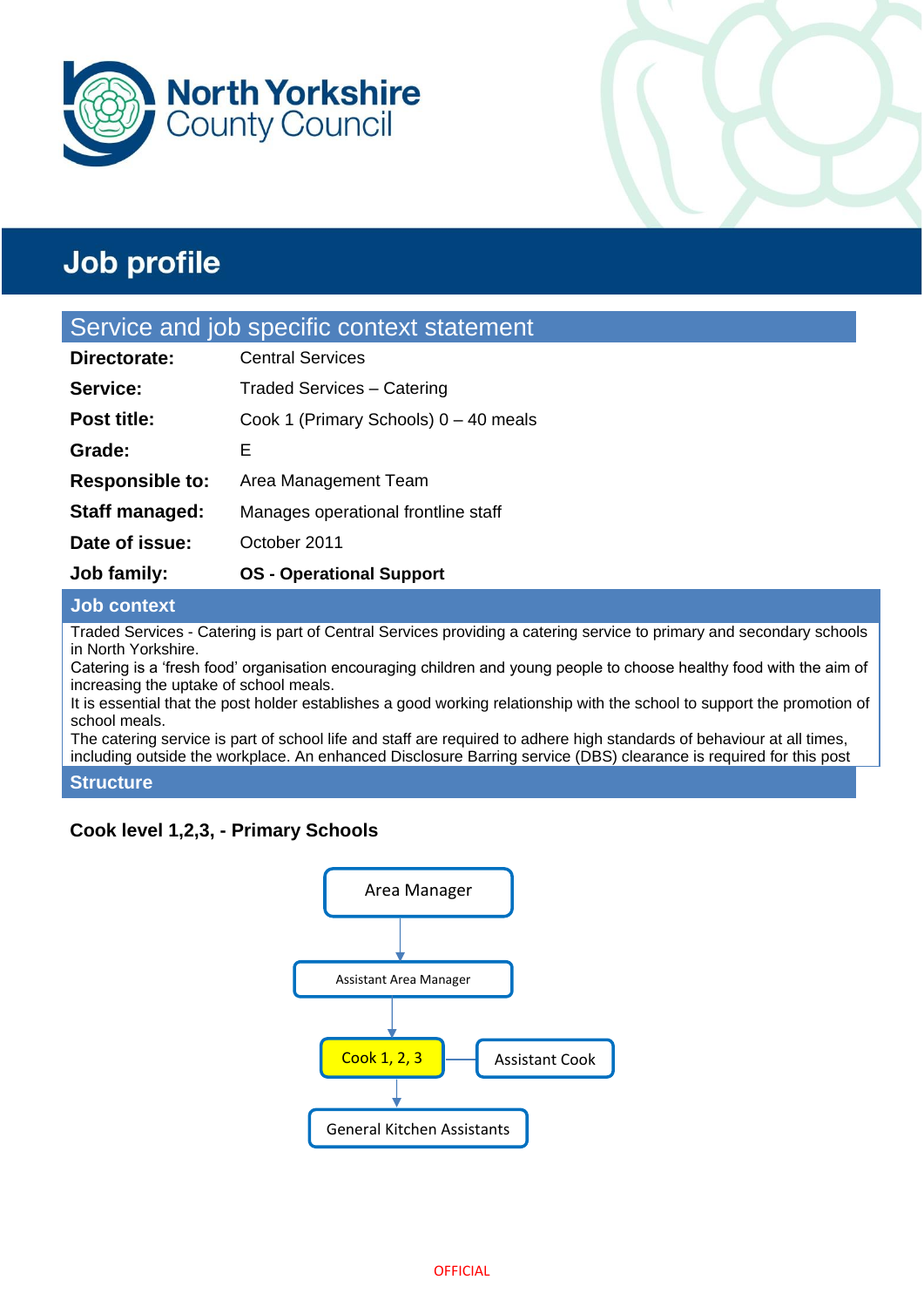



# **Job profile**

### Service and job specific context statement

| <b>Job family:</b>     | <b>OS</b> - Operational Support       |  |
|------------------------|---------------------------------------|--|
| Date of issue:         | October 2011                          |  |
| Staff managed:         | Manages operational frontline staff   |  |
| <b>Responsible to:</b> | Area Management Team                  |  |
| Grade:                 | Е                                     |  |
| <b>Post title:</b>     | Cook 1 (Primary Schools) 0 - 40 meals |  |
| Service:               | <b>Traded Services - Catering</b>     |  |
| Directorate:           | <b>Central Services</b>               |  |

### **Job context**

Traded Services - Catering is part of Central Services providing a catering service to primary and secondary schools in North Yorkshire.

Catering is a 'fresh food' organisation encouraging children and young people to choose healthy food with the aim of increasing the uptake of school meals.

It is essential that the post holder establishes a good working relationship with the school to support the promotion of school meals.

The catering service is part of school life and staff are required to adhere high standards of behaviour at all times, including outside the workplace. An enhanced Disclosure Barring service (DBS) clearance is required for this post

#### **Structure**

### **Cook level 1,2,3, - Primary Schools**

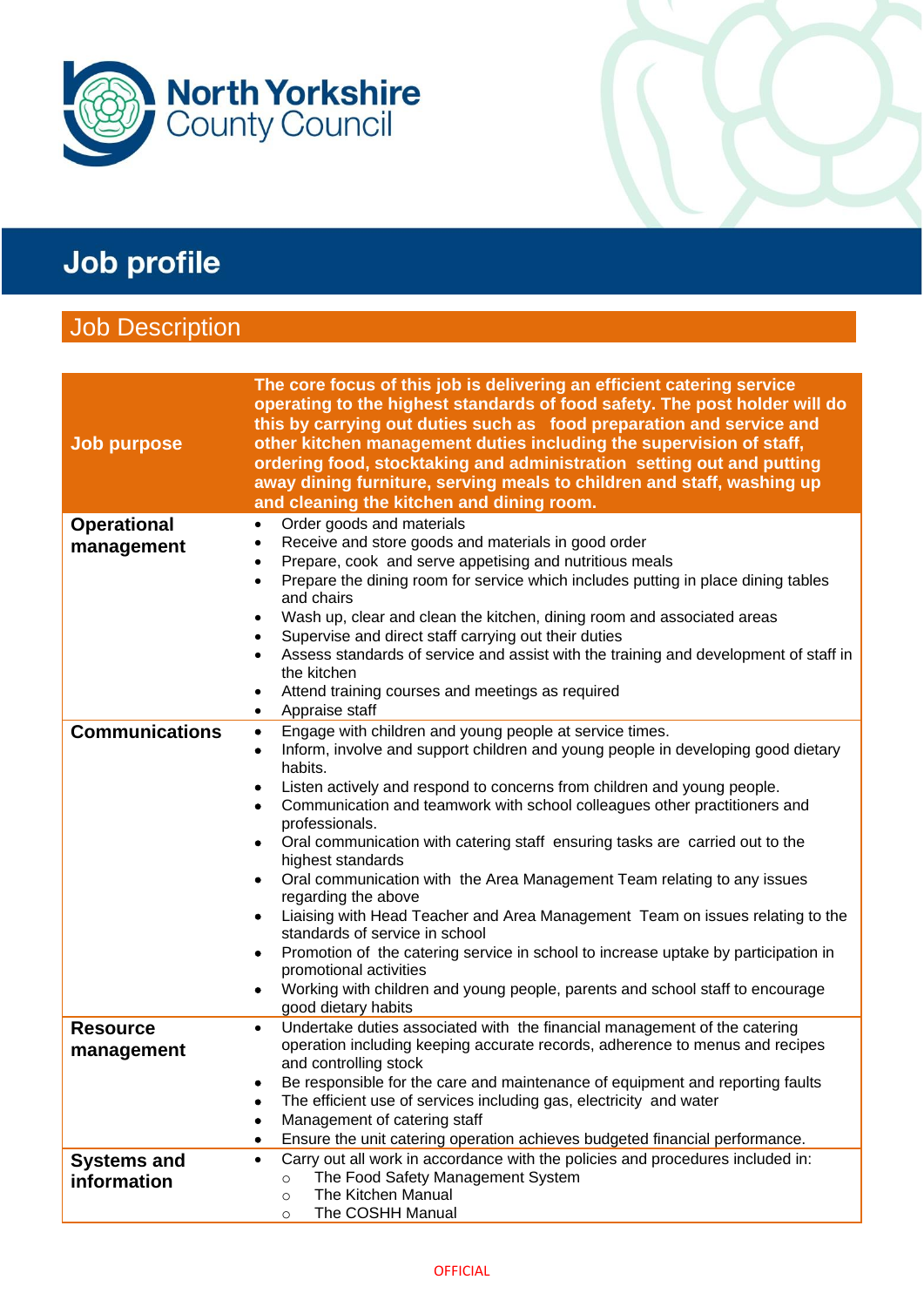

# Job profile

### Job Description

| <b>Job purpose</b>    | The core focus of this job is delivering an efficient catering service<br>operating to the highest standards of food safety. The post holder will do<br>this by carrying out duties such as food preparation and service and<br>other kitchen management duties including the supervision of staff,<br>ordering food, stocktaking and administration setting out and putting<br>away dining furniture, serving meals to children and staff, washing up<br>and cleaning the kitchen and dining room. |
|-----------------------|-----------------------------------------------------------------------------------------------------------------------------------------------------------------------------------------------------------------------------------------------------------------------------------------------------------------------------------------------------------------------------------------------------------------------------------------------------------------------------------------------------|
| <b>Operational</b>    | Order goods and materials<br>$\bullet$                                                                                                                                                                                                                                                                                                                                                                                                                                                              |
| management            | Receive and store goods and materials in good order<br>٠                                                                                                                                                                                                                                                                                                                                                                                                                                            |
|                       | Prepare, cook and serve appetising and nutritious meals<br>$\bullet$                                                                                                                                                                                                                                                                                                                                                                                                                                |
|                       | Prepare the dining room for service which includes putting in place dining tables<br>$\bullet$<br>and chairs                                                                                                                                                                                                                                                                                                                                                                                        |
|                       | Wash up, clear and clean the kitchen, dining room and associated areas<br>$\bullet$                                                                                                                                                                                                                                                                                                                                                                                                                 |
|                       | Supervise and direct staff carrying out their duties<br>$\bullet$                                                                                                                                                                                                                                                                                                                                                                                                                                   |
|                       | Assess standards of service and assist with the training and development of staff in<br>٠<br>the kitchen                                                                                                                                                                                                                                                                                                                                                                                            |
|                       | Attend training courses and meetings as required<br>٠                                                                                                                                                                                                                                                                                                                                                                                                                                               |
|                       | Appraise staff<br>$\bullet$                                                                                                                                                                                                                                                                                                                                                                                                                                                                         |
| <b>Communications</b> | Engage with children and young people at service times.<br>$\bullet$                                                                                                                                                                                                                                                                                                                                                                                                                                |
|                       | Inform, involve and support children and young people in developing good dietary<br>٠<br>habits.                                                                                                                                                                                                                                                                                                                                                                                                    |
|                       | Listen actively and respond to concerns from children and young people.<br>٠                                                                                                                                                                                                                                                                                                                                                                                                                        |
|                       | Communication and teamwork with school colleagues other practitioners and<br>$\bullet$<br>professionals.                                                                                                                                                                                                                                                                                                                                                                                            |
|                       | Oral communication with catering staff ensuring tasks are carried out to the<br>٠<br>highest standards                                                                                                                                                                                                                                                                                                                                                                                              |
|                       | Oral communication with the Area Management Team relating to any issues<br>٠<br>regarding the above                                                                                                                                                                                                                                                                                                                                                                                                 |
|                       | Liaising with Head Teacher and Area Management Team on issues relating to the<br>٠<br>standards of service in school                                                                                                                                                                                                                                                                                                                                                                                |
|                       | Promotion of the catering service in school to increase uptake by participation in<br>٠<br>promotional activities                                                                                                                                                                                                                                                                                                                                                                                   |
|                       | Working with children and young people, parents and school staff to encourage<br>٠<br>good dietary habits                                                                                                                                                                                                                                                                                                                                                                                           |
| <b>Resource</b>       | Undertake duties associated with the financial management of the catering<br>$\bullet$                                                                                                                                                                                                                                                                                                                                                                                                              |
| management            | operation including keeping accurate records, adherence to menus and recipes                                                                                                                                                                                                                                                                                                                                                                                                                        |
|                       | and controlling stock                                                                                                                                                                                                                                                                                                                                                                                                                                                                               |
|                       | Be responsible for the care and maintenance of equipment and reporting faults                                                                                                                                                                                                                                                                                                                                                                                                                       |
|                       | The efficient use of services including gas, electricity and water                                                                                                                                                                                                                                                                                                                                                                                                                                  |
|                       | Management of catering staff                                                                                                                                                                                                                                                                                                                                                                                                                                                                        |
|                       | Ensure the unit catering operation achieves budgeted financial performance.                                                                                                                                                                                                                                                                                                                                                                                                                         |
| <b>Systems and</b>    | Carry out all work in accordance with the policies and procedures included in:<br>$\bullet$<br>The Food Safety Management System<br>$\circ$                                                                                                                                                                                                                                                                                                                                                         |
| information           | The Kitchen Manual<br>$\circ$                                                                                                                                                                                                                                                                                                                                                                                                                                                                       |
|                       | The COSHH Manual<br>$\circ$                                                                                                                                                                                                                                                                                                                                                                                                                                                                         |
|                       |                                                                                                                                                                                                                                                                                                                                                                                                                                                                                                     |